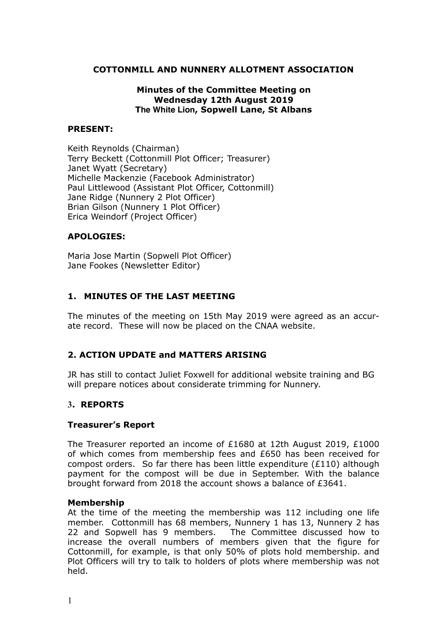### **COTTONMILL AND NUNNERY ALLOTMENT ASSOCIATION**

### **Minutes of the Committee Meeting on Wednesday 12th August 2019 The White Lion, Sopwell Lane, St Albans**

### **PRESENT:**

Keith Reynolds (Chairman) Terry Beckett (Cottonmill Plot Officer; Treasurer) Janet Wyatt (Secretary) Michelle Mackenzie (Facebook Administrator) Paul Littlewood (Assistant Plot Officer, Cottonmill) Jane Ridge (Nunnery 2 Plot Officer) Brian Gilson (Nunnery 1 Plot Officer) Erica Weindorf (Project Officer)

### **APOLOGIES:**

Maria Jose Martin (Sopwell Plot Officer) Jane Fookes (Newsletter Editor)

### **1. MINUTES OF THE LAST MEETING**

The minutes of the meeting on 15th May 2019 were agreed as an accurate record. These will now be placed on the CNAA website.

## **2. ACTION UPDATE and MATTERS ARISING**

JR has still to contact Juliet Foxwell for additional website training and BG will prepare notices about considerate trimming for Nunnery.

### **3. REPORTS**

### **Treasurer's Report**

The Treasurer reported an income of £1680 at 12th August 2019, £1000 of which comes from membership fees and £650 has been received for compost orders. So far there has been little expenditure (£110) although payment for the compost will be due in September. With the balance brought forward from 2018 the account shows a balance of £3641.

#### **Membership**

At the time of the meeting the membership was 112 including one life member. Cottonmill has 68 members, Nunnery 1 has 13, Nunnery 2 has 22 and Sopwell has 9 members. The Committee discussed how to increase the overall numbers of members given that the figure for Cottonmill, for example, is that only 50% of plots hold membership. and Plot Officers will try to talk to holders of plots where membership was not held.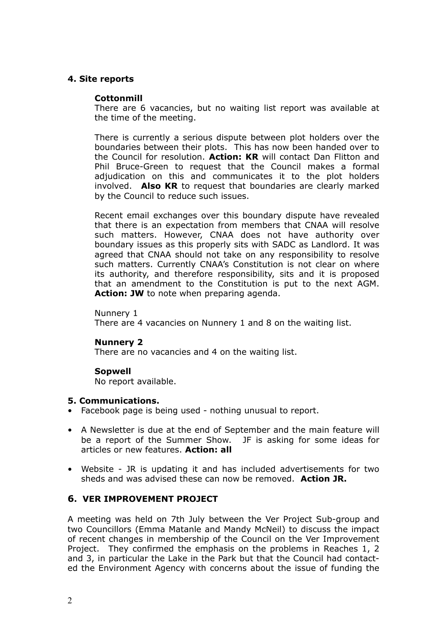### **4. Site reports**

### **Cottonmill**

There are 6 vacancies, but no waiting list report was available at the time of the meeting.

There is currently a serious dispute between plot holders over the boundaries between their plots. This has now been handed over to the Council for resolution. **Action: KR** will contact Dan Flitton and Phil Bruce-Green to request that the Council makes a formal adjudication on this and communicates it to the plot holders involved. **Also KR** to request that boundaries are clearly marked by the Council to reduce such issues.

Recent email exchanges over this boundary dispute have revealed that there is an expectation from members that CNAA will resolve such matters. However, CNAA does not have authority over boundary issues as this properly sits with SADC as Landlord. It was agreed that CNAA should not take on any responsibility to resolve such matters. Currently CNAA's Constitution is not clear on where its authority, and therefore responsibility, sits and it is proposed that an amendment to the Constitution is put to the next AGM. Action: JW to note when preparing agenda.

Nunnery 1

There are 4 vacancies on Nunnery 1 and 8 on the waiting list.

### **Nunnery 2**

There are no vacancies and 4 on the waiting list.

### **Sopwell**

No report available.

### **5. Communications.**

- Facebook page is being used nothing unusual to report.
- A Newsletter is due at the end of September and the main feature will be a report of the Summer Show. JF is asking for some ideas for articles or new features. **Action: all**
- Website JR is updating it and has included advertisements for two sheds and was advised these can now be removed. **Action JR.**

## **6. VER IMPROVEMENT PROJECT**

A meeting was held on 7th July between the Ver Project Sub-group and two Councillors (Emma Matanle and Mandy McNeil) to discuss the impact of recent changes in membership of the Council on the Ver Improvement Project. They confirmed the emphasis on the problems in Reaches 1, 2 and 3, in particular the Lake in the Park but that the Council had contacted the Environment Agency with concerns about the issue of funding the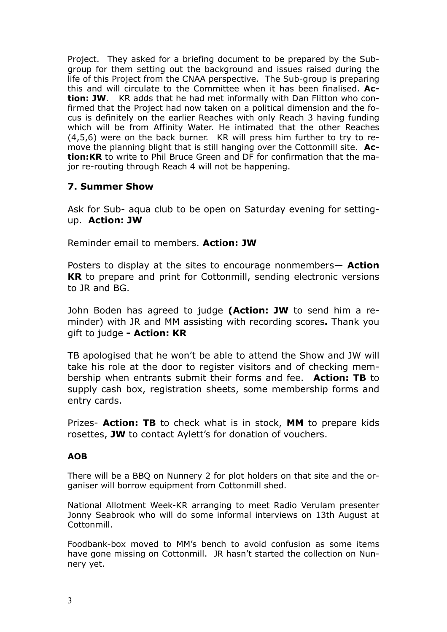Project. They asked for a briefing document to be prepared by the Subgroup for them setting out the background and issues raised during the life of this Project from the CNAA perspective. The Sub-group is preparing this and will circulate to the Committee when it has been finalised. **Action: JW**. KR adds that he had met informally with Dan Flitton who confirmed that the Project had now taken on a political dimension and the focus is definitely on the earlier Reaches with only Reach 3 having funding which will be from Affinity Water. He intimated that the other Reaches (4,5,6) were on the back burner. KR will press him further to try to remove the planning blight that is still hanging over the Cottonmill site. **Action:KR** to write to Phil Bruce Green and DF for confirmation that the major re-routing through Reach 4 will not be happening.

# **7. Summer Show**

Ask for Sub- aqua club to be open on Saturday evening for settingup. **Action: JW** 

Reminder email to members. **Action: JW**

Posters to display at the sites to encourage nonmembers— **Action KR** to prepare and print for Cottonmill, sending electronic versions to JR and BG.

John Boden has agreed to judge **(Action: JW** to send him a reminder) with JR and MM assisting with recording scores**.** Thank you gift to judge **- Action: KR** 

TB apologised that he won't be able to attend the Show and JW will take his role at the door to register visitors and of checking membership when entrants submit their forms and fee. **Action: TB** to supply cash box, registration sheets, some membership forms and entry cards.

Prizes- **Action: TB** to check what is in stock, **MM** to prepare kids rosettes, **JW** to contact Aylett's for donation of vouchers.

### **AOB**

There will be a BBQ on Nunnery 2 for plot holders on that site and the organiser will borrow equipment from Cottonmill shed.

National Allotment Week-KR arranging to meet Radio Verulam presenter Jonny Seabrook who will do some informal interviews on 13th August at Cottonmill.

Foodbank-box moved to MM's bench to avoid confusion as some items have gone missing on Cottonmill. JR hasn't started the collection on Nunnery yet.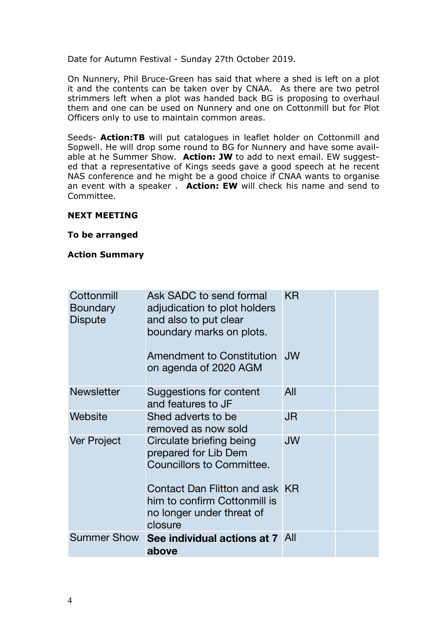Date for Autumn Festival - Sunday 27th October 2019.

On Nunnery, Phil Bruce-Green has said that where a shed is left on a plot it and the contents can be taken over by CNAA. As there are two petrol strimmers left when a plot was handed back BG is proposing to overhaul them and one can be used on Nunnery and one on Cottonmill but for Plot Officers only to use to maintain common areas.

Seeds- **Action:TB** will put catalogues in leaflet holder on Cottonmill and Sopwell. He will drop some round to BG for Nunnery and have some available at he Summer Show. **Action: JW** to add to next email. EW suggested that a representative of Kings seeds gave a good speech at he recent NAS conference and he might be a good choice if CNAA wants to organise an event with a speaker . **Action: EW** will check his name and send to Committee.

### **NEXT MEETING**

**To be arranged** 

**Action Summary** 

| Cottonmill<br><b>Boundary</b><br><b>Dispute</b> | Ask SADC to send formal<br>adjudication to plot holders<br>and also to put clear<br>boundary marks on plots. | KR        |  |
|-------------------------------------------------|--------------------------------------------------------------------------------------------------------------|-----------|--|
|                                                 | Amendment to Constitution<br>on agenda of 2020 AGM                                                           | <b>JW</b> |  |
| <b>Newsletter</b>                               | Suggestions for content<br>and features to JF                                                                | All       |  |
| Website                                         | Shed adverts to be<br>removed as now sold                                                                    | JR        |  |
| Ver Project                                     | Circulate briefing being<br>prepared for Lib Dem<br><b>Councillors to Committee.</b>                         | <b>JW</b> |  |
|                                                 | Contact Dan Flitton and ask KR<br>him to confirm Cottonmill is<br>no longer under threat of<br>closure       |           |  |
| <b>Summer Show</b>                              | See individual actions at 7 All<br>above                                                                     |           |  |